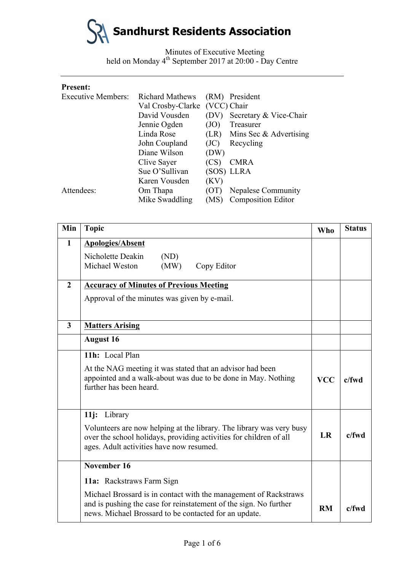

| <b>Present:</b>           |                        |             |                           |
|---------------------------|------------------------|-------------|---------------------------|
| <b>Executive Members:</b> | <b>Richard Mathews</b> |             | (RM) President            |
|                           | Val Crosby-Clarke      | (VCC) Chair |                           |
|                           | David Vousden          | (DV)        | Secretary & Vice-Chair    |
|                           | Jennie Ogden           | (JO)        | Treasurer                 |
|                           | Linda Rose             | (LR)        | Mins Sec $&$ Advertising  |
|                           | John Coupland          | (JC)        | Recycling                 |
|                           | Diane Wilson           | (DW)        |                           |
|                           | Clive Sayer            | (CS)        | <b>CMRA</b>               |
|                           | Sue O'Sullivan         |             | (SOS) LLRA                |
|                           | Karen Vousden          | (KV)        |                           |
| Attendees:                | Om Thapa               | (OT)        | Nepalese Community        |
|                           | Mike Swaddling         | (MS)        | <b>Composition Editor</b> |

| Min                     | <b>Topic</b>                                                                                                                                                                                   | <b>Who</b> | <b>Status</b> |
|-------------------------|------------------------------------------------------------------------------------------------------------------------------------------------------------------------------------------------|------------|---------------|
| $\mathbf{1}$            | <b>Apologies/Absent</b>                                                                                                                                                                        |            |               |
|                         | Nicholette Deakin<br>(ND)<br>Michael Weston<br>(MW)<br>Copy Editor                                                                                                                             |            |               |
|                         |                                                                                                                                                                                                |            |               |
| $\overline{2}$          | <b>Accuracy of Minutes of Previous Meeting</b>                                                                                                                                                 |            |               |
|                         | Approval of the minutes was given by e-mail.                                                                                                                                                   |            |               |
| $\overline{\mathbf{3}}$ | <b>Matters Arising</b>                                                                                                                                                                         |            |               |
|                         | <b>August 16</b>                                                                                                                                                                               |            |               |
|                         | 11h: Local Plan                                                                                                                                                                                |            |               |
|                         | At the NAG meeting it was stated that an advisor had been<br>appointed and a walk-about was due to be done in May. Nothing<br>further has been heard.                                          |            | $c$ /fwd      |
|                         | $11$ j:<br>Library                                                                                                                                                                             |            |               |
|                         | Volunteers are now helping at the library. The library was very busy<br>over the school holidays, providing activities for children of all<br>ages. Adult activities have now resumed.         | <b>LR</b>  | $c$ /fwd      |
|                         | November 16                                                                                                                                                                                    |            |               |
|                         | 11a: Rackstraws Farm Sign                                                                                                                                                                      |            |               |
|                         | Michael Brossard is in contact with the management of Rackstraws<br>and is pushing the case for reinstatement of the sign. No further<br>news. Michael Brossard to be contacted for an update. | <b>RM</b>  | $c$ /fwd      |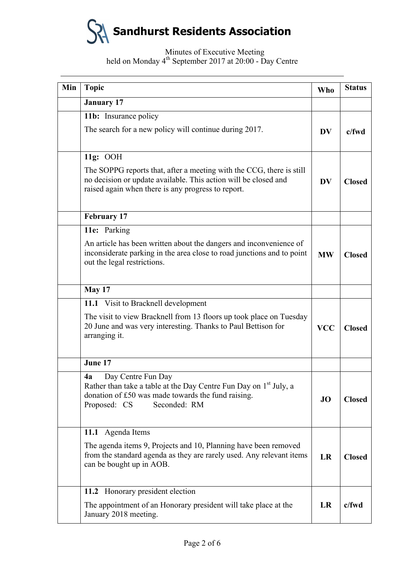| Min | <b>Topic</b>                                                                                                                                                                                    | <b>Who</b> | <b>Status</b> |
|-----|-------------------------------------------------------------------------------------------------------------------------------------------------------------------------------------------------|------------|---------------|
|     | <b>January 17</b>                                                                                                                                                                               |            |               |
|     | 11b: Insurance policy                                                                                                                                                                           |            |               |
|     | The search for a new policy will continue during 2017.                                                                                                                                          | <b>DV</b>  | $c$ /fwd      |
|     | 11g: OOH                                                                                                                                                                                        |            |               |
|     | The SOPPG reports that, after a meeting with the CCG, there is still<br>no decision or update available. This action will be closed and<br>raised again when there is any progress to report.   | <b>DV</b>  | <b>Closed</b> |
|     | <b>February 17</b>                                                                                                                                                                              |            |               |
|     | 11e: Parking                                                                                                                                                                                    |            |               |
|     | An article has been written about the dangers and inconvenience of<br>inconsiderate parking in the area close to road junctions and to point<br>out the legal restrictions.                     | <b>MW</b>  | <b>Closed</b> |
|     | May 17                                                                                                                                                                                          |            |               |
|     | Visit to Bracknell development<br>11.1                                                                                                                                                          |            |               |
|     | The visit to view Bracknell from 13 floors up took place on Tuesday<br>20 June and was very interesting. Thanks to Paul Bettison for<br>arranging it.                                           | <b>VCC</b> | <b>Closed</b> |
|     | June 17                                                                                                                                                                                         |            |               |
|     | Day Centre Fun Day<br>4a<br>Rather than take a table at the Day Centre Fun Day on 1 <sup>st</sup> July, a<br>donation of £50 was made towards the fund raising.<br>Seconded: RM<br>Proposed: CS | <b>JO</b>  | <b>Closed</b> |
|     | Agenda Items<br>11.1                                                                                                                                                                            |            |               |
|     | The agenda items 9, Projects and 10, Planning have been removed<br>from the standard agenda as they are rarely used. Any relevant items<br>can be bought up in AOB.                             | LR         | <b>Closed</b> |
|     | Honorary president election<br>11.2                                                                                                                                                             |            |               |
|     | The appointment of an Honorary president will take place at the<br>January 2018 meeting.                                                                                                        | LR         | $c$ /fwd      |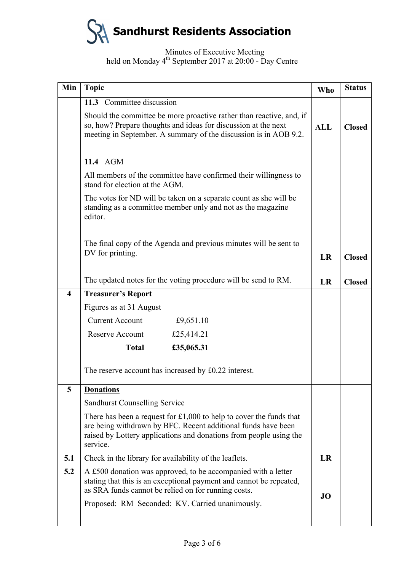

| Min                     | <b>Topic</b>                                                                                                                                                                                                             | <b>Who</b> | <b>Status</b> |
|-------------------------|--------------------------------------------------------------------------------------------------------------------------------------------------------------------------------------------------------------------------|------------|---------------|
|                         | 11.3 Committee discussion                                                                                                                                                                                                |            |               |
|                         | Should the committee be more proactive rather than reactive, and, if<br>so, how? Prepare thoughts and ideas for discussion at the next<br>meeting in September. A summary of the discussion is in AOB 9.2.               | <b>ALL</b> | <b>Closed</b> |
|                         | 11.4 AGM                                                                                                                                                                                                                 |            |               |
|                         | All members of the committee have confirmed their willingness to<br>stand for election at the AGM.                                                                                                                       |            |               |
|                         | The votes for ND will be taken on a separate count as she will be<br>standing as a committee member only and not as the magazine<br>editor.                                                                              |            |               |
|                         | The final copy of the Agenda and previous minutes will be sent to<br>DV for printing.                                                                                                                                    | LR         | <b>Closed</b> |
|                         |                                                                                                                                                                                                                          |            |               |
|                         | The updated notes for the voting procedure will be send to RM.                                                                                                                                                           | LR         | <b>Closed</b> |
| $\overline{\mathbf{4}}$ | <b>Treasurer's Report</b>                                                                                                                                                                                                |            |               |
|                         | Figures as at 31 August                                                                                                                                                                                                  |            |               |
|                         | <b>Current Account</b><br>£9,651.10                                                                                                                                                                                      |            |               |
|                         | Reserve Account<br>£25,414.21                                                                                                                                                                                            |            |               |
|                         | <b>Total</b><br>£35,065.31                                                                                                                                                                                               |            |               |
|                         | The reserve account has increased by £0.22 interest.                                                                                                                                                                     |            |               |
| 5                       | <b>Donations</b>                                                                                                                                                                                                         |            |               |
|                         | <b>Sandhurst Counselling Service</b>                                                                                                                                                                                     |            |               |
|                         | There has been a request for $£1,000$ to help to cover the funds that<br>are being withdrawn by BFC. Recent additional funds have been<br>raised by Lottery applications and donations from people using the<br>service. |            |               |
| 5.1                     | Check in the library for availability of the leaflets.                                                                                                                                                                   | LR         |               |
| 5.2                     | A £500 donation was approved, to be accompanied with a letter<br>stating that this is an exceptional payment and cannot be repeated,<br>as SRA funds cannot be relied on for running costs.                              | <b>JO</b>  |               |
|                         | Proposed: RM Seconded: KV. Carried unanimously.                                                                                                                                                                          |            |               |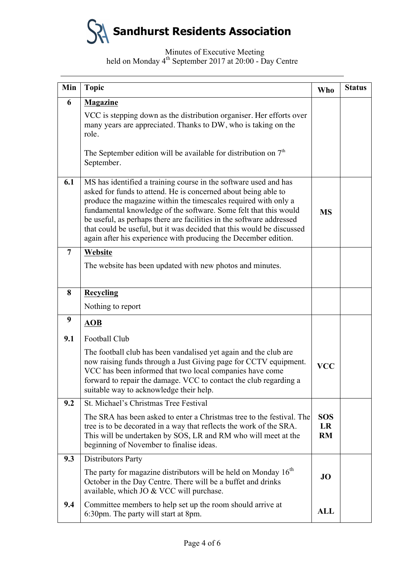| Min            | <b>Topic</b>                                                                                                                                                                                                                                                                                                                                                                                                                                                                                  | <b>Who</b>                    | <b>Status</b> |
|----------------|-----------------------------------------------------------------------------------------------------------------------------------------------------------------------------------------------------------------------------------------------------------------------------------------------------------------------------------------------------------------------------------------------------------------------------------------------------------------------------------------------|-------------------------------|---------------|
| 6              | <b>Magazine</b>                                                                                                                                                                                                                                                                                                                                                                                                                                                                               |                               |               |
|                | VCC is stepping down as the distribution organiser. Her efforts over<br>many years are appreciated. Thanks to DW, who is taking on the<br>role.                                                                                                                                                                                                                                                                                                                                               |                               |               |
|                | The September edition will be available for distribution on $7th$<br>September.                                                                                                                                                                                                                                                                                                                                                                                                               |                               |               |
| 6.1            | MS has identified a training course in the software used and has<br>asked for funds to attend. He is concerned about being able to<br>produce the magazine within the timescales required with only a<br>fundamental knowledge of the software. Some felt that this would<br>be useful, as perhaps there are facilities in the software addressed<br>that could be useful, but it was decided that this would be discussed<br>again after his experience with producing the December edition. | <b>MS</b>                     |               |
| $\overline{7}$ | Website                                                                                                                                                                                                                                                                                                                                                                                                                                                                                       |                               |               |
|                | The website has been updated with new photos and minutes.                                                                                                                                                                                                                                                                                                                                                                                                                                     |                               |               |
| 8              | <b>Recycling</b>                                                                                                                                                                                                                                                                                                                                                                                                                                                                              |                               |               |
|                | Nothing to report                                                                                                                                                                                                                                                                                                                                                                                                                                                                             |                               |               |
| 9              | <b>AOB</b>                                                                                                                                                                                                                                                                                                                                                                                                                                                                                    |                               |               |
| 9.1            | Football Club                                                                                                                                                                                                                                                                                                                                                                                                                                                                                 |                               |               |
|                | The football club has been vandalised yet again and the club are<br>now raising funds through a Just Giving page for CCTV equipment.<br>VCC has been informed that two local companies have come<br>forward to repair the damage. VCC to contact the club regarding a<br>suitable way to acknowledge their help.                                                                                                                                                                              | <b>VCC</b>                    |               |
| 9.2            | St. Michael's Christmas Tree Festival                                                                                                                                                                                                                                                                                                                                                                                                                                                         |                               |               |
|                | The SRA has been asked to enter a Christmas tree to the festival. The<br>tree is to be decorated in a way that reflects the work of the SRA.<br>This will be undertaken by SOS, LR and RM who will meet at the<br>beginning of November to finalise ideas.                                                                                                                                                                                                                                    | <b>SOS</b><br>LR<br><b>RM</b> |               |
| 9.3            | <b>Distributors Party</b>                                                                                                                                                                                                                                                                                                                                                                                                                                                                     |                               |               |
|                | The party for magazine distributors will be held on Monday $16th$<br>October in the Day Centre. There will be a buffet and drinks<br>available, which JO & VCC will purchase.                                                                                                                                                                                                                                                                                                                 | $\bf{JO}$                     |               |
| 9.4            | Committee members to help set up the room should arrive at<br>6:30pm. The party will start at 8pm.                                                                                                                                                                                                                                                                                                                                                                                            | <b>ALL</b>                    |               |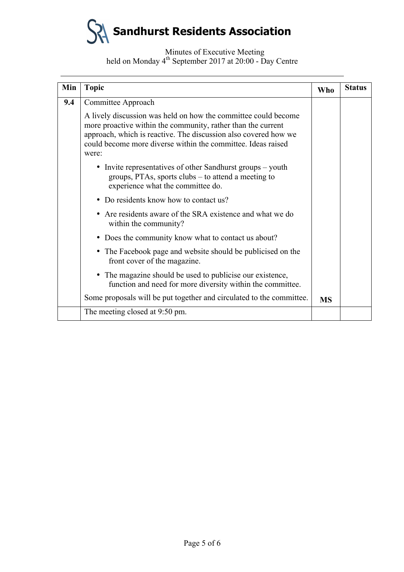| Min | <b>Topic</b>                                                                                                                                                                                                                                                               | <b>Who</b> | <b>Status</b> |
|-----|----------------------------------------------------------------------------------------------------------------------------------------------------------------------------------------------------------------------------------------------------------------------------|------------|---------------|
| 9.4 | Committee Approach                                                                                                                                                                                                                                                         |            |               |
|     | A lively discussion was held on how the committee could become<br>more proactive within the community, rather than the current<br>approach, which is reactive. The discussion also covered how we<br>could become more diverse within the committee. Ideas raised<br>were: |            |               |
|     | • Invite representatives of other Sandhurst groups – youth<br>groups, PTAs, sports clubs - to attend a meeting to<br>experience what the committee do.                                                                                                                     |            |               |
|     | Do residents know how to contact us?<br>$\bullet$                                                                                                                                                                                                                          |            |               |
|     | Are residents aware of the SRA existence and what we do<br>within the community?                                                                                                                                                                                           |            |               |
|     | Does the community know what to contact us about?<br>$\bullet$                                                                                                                                                                                                             |            |               |
|     | • The Facebook page and website should be publicised on the<br>front cover of the magazine.                                                                                                                                                                                |            |               |
|     | • The magazine should be used to publicise our existence,<br>function and need for more diversity within the committee.                                                                                                                                                    |            |               |
|     | Some proposals will be put together and circulated to the committee.                                                                                                                                                                                                       | <b>MS</b>  |               |
|     | The meeting closed at 9:50 pm.                                                                                                                                                                                                                                             |            |               |